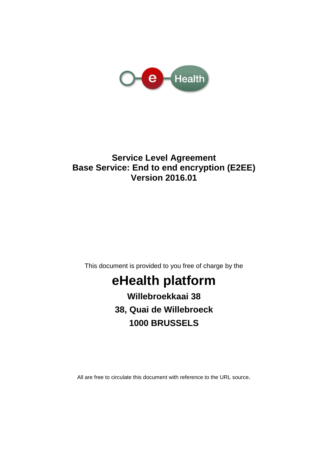

# **Service Level Agreement Base Service: End to end encryption (E2EE) Version 2016.01**

This document is provided to you free of charge by the

# **eHealth platform**

**Willebroekkaai 38 38, Quai de Willebroeck 1000 BRUSSELS**

All are free to circulate this document with reference to the URL source.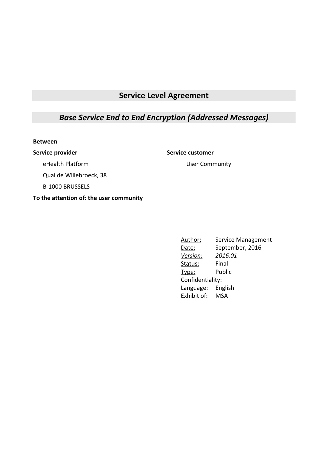# **Service Level Agreement**

## *Base Service End to End Encryption (Addressed Messages)*

#### **Between**

#### **Service provider Service customer**

User Community

eHealth Platform

Quai de Willebroeck, 38

B-1000 BRUSSELS

#### **To the attention of: the user community**

Author: Service Management Date: September, 2016 *Version: 2016.01* Status: Final Type: Public Confidentiality: Language: English Exhibit of: MSA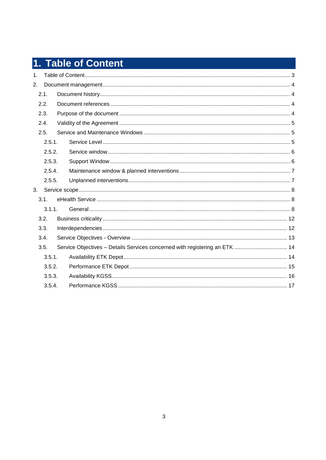# 1. Table of Content

| 1 <sub>1</sub> |        |                                                                             |  |
|----------------|--------|-----------------------------------------------------------------------------|--|
| 2.             |        |                                                                             |  |
|                | 2.1.   |                                                                             |  |
|                | 2.2.   |                                                                             |  |
|                | 2.3.   |                                                                             |  |
|                | 2.4.   |                                                                             |  |
|                | 2.5.   |                                                                             |  |
|                | 2.5.1. |                                                                             |  |
|                | 2.5.2. |                                                                             |  |
|                | 2.5.3. |                                                                             |  |
|                | 2.5.4. |                                                                             |  |
|                | 2.5.5. |                                                                             |  |
| 3 <sub>1</sub> |        |                                                                             |  |
|                | 3.1.   |                                                                             |  |
|                | 3.1.1. |                                                                             |  |
|                | 3.2.   |                                                                             |  |
|                | 3.3.   |                                                                             |  |
|                | 3.4.   |                                                                             |  |
|                | 3.5.   | Service Objectives - Details Services concerned with registering an ETK  14 |  |
|                | 3.5.1. |                                                                             |  |
|                | 3.5.2. |                                                                             |  |
|                | 3.5.3. |                                                                             |  |
|                | 3.5.4. |                                                                             |  |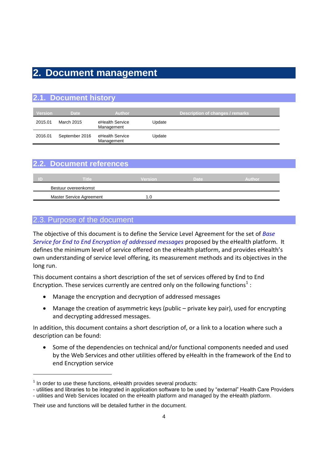# **2. Document management**

| 2.1. Document history |                |                               |        |                                         |  |  |  |  |
|-----------------------|----------------|-------------------------------|--------|-----------------------------------------|--|--|--|--|
| <b>Version</b>        | <b>Date</b>    | <b>Author</b>                 |        | <b>Description of changes / remarks</b> |  |  |  |  |
| 2015.01               | March 2015     | eHealth Service<br>Management | Update |                                         |  |  |  |  |
| 2016.01               | September 2016 | eHealth Service<br>Management | Update |                                         |  |  |  |  |

|    | 2.2. Document references |                |      |        |
|----|--------------------------|----------------|------|--------|
| ID | Title                    | <b>Version</b> | Date | Author |
|    | Bestuur overeenkomst     |                |      |        |
|    | Master Service Agreement | 1.0            |      |        |

#### 2.3. Purpose of the document

1

The objective of this document is to define the Service Level Agreement for the set of *Base Service for End to End Encryption of addressed messages* proposed by the eHealth platform. It defines the minimum level of service offered on the eHealth platform, and provides eHealth's own understanding of service level offering, its measurement methods and its objectives in the long run.

This document contains a short description of the set of services offered by End to End Encryption. These services currently are centred only on the following functions<sup>1</sup>:

- Manage the encryption and decryption of addressed messages
- Manage the creation of asymmetric keys (public private key pair), used for encrypting and decrypting addressed messages.

In addition, this document contains a short description of, or a link to a location where such a description can be found:

 Some of the dependencies on technical and/or functional components needed and used by the Web Services and other utilities offered by eHealth in the framework of the End to end Encryption service

 $1$  In order to use these functions, eHealth provides several products:

<sup>-</sup> utilities and libraries to be integrated in application software to be used by "external" Health Care Providers

<sup>-</sup> utilities and Web Services located on the eHealth platform and managed by the eHealth platform.

Their use and functions will be detailed further in the document.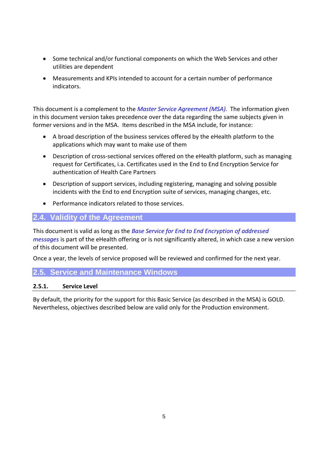- Some technical and/or functional components on which the Web Services and other utilities are dependent
- Measurements and KPIs intended to account for a certain number of performance indicators.

This document is a complement to the *Master Service Agreement (MSA)*. The information given in this document version takes precedence over the data regarding the same subjects given in former versions and in the MSA. Items described in the MSA include, for instance:

- A broad description of the business services offered by the eHealth platform to the applications which may want to make use of them
- Description of cross-sectional services offered on the eHealth platform, such as managing request for Certificates, i.a. Certificates used in the End to End Encryption Service for authentication of Health Care Partners
- Description of support services, including registering, managing and solving possible incidents with the End to end Encryption suite of services, managing changes, etc.
- Performance indicators related to those services.

### **2.4. Validity of the Agreement**

This document is valid as long as the *Base Service for End to End Encryption of addressed messages* is part of the eHealth offering or is not significantly altered, in which case a new version of this document will be presented.

Once a year, the levels of service proposed will be reviewed and confirmed for the next year.

#### **2.5. Service and Maintenance Windows**

#### **2.5.1. Service Level**

By default, the priority for the support for this Basic Service (as described in the MSA) is GOLD. Nevertheless, objectives described below are valid only for the Production environment.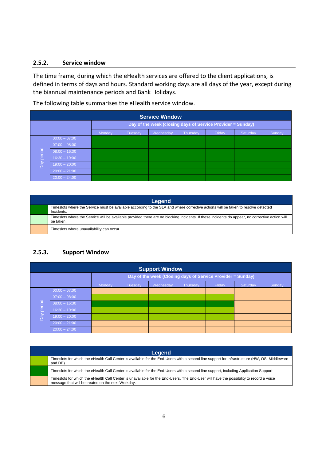#### **2.5.2. Service window**

The time frame, during which the eHealth services are offered to the client applications, is defined in terms of days and hours. Standard working days are all days of the year, except during the biannual maintenance periods and Bank Holidays.

The following table summarises the eHealth service window.

| <b>Service Window</b> |                                                             |        |                |           |          |        |          |        |
|-----------------------|-------------------------------------------------------------|--------|----------------|-----------|----------|--------|----------|--------|
|                       | Day of the week (closing days of Service Provider = Sunday) |        |                |           |          |        |          |        |
|                       |                                                             | Monday | <b>Tuesday</b> | Wednesday | Thursday | Friday | Saturday | Sunday |
|                       | $00:00 - 07:00$                                             |        |                |           |          |        |          |        |
|                       | $07:00 - 08:00$                                             |        |                |           |          |        |          |        |
| period                | $08:00 - 16:30$                                             |        |                |           |          |        |          |        |
|                       | $16:30 - 19:00$                                             |        |                |           |          |        |          |        |
| Day                   | $19:00 - 20:00$                                             |        |                |           |          |        |          |        |
|                       | $20:00 - 21:00$                                             |        |                |           |          |        |          |        |
|                       | $20:00 - 24:00$                                             |        |                |           |          |        |          |        |

| Legend |                                                                                                                                                              |  |  |  |  |  |
|--------|--------------------------------------------------------------------------------------------------------------------------------------------------------------|--|--|--|--|--|
|        | Timeslots where the Service must be available according to the SLA and where corrective actions will be taken to resolve detected<br>Incidents.              |  |  |  |  |  |
|        | Timeslots where the Service will be available provided there are no blocking Incidents. If these incidents do appear, no corrective action will<br>be taken. |  |  |  |  |  |
|        | Timeslots where unavailability can occur.                                                                                                                    |  |  |  |  |  |

#### **2.5.3. Support Window**

| <b>Support Window</b> |                 |                                                             |         |           |                 |        |          |        |
|-----------------------|-----------------|-------------------------------------------------------------|---------|-----------|-----------------|--------|----------|--------|
|                       |                 | Day of the week (Closing days of Service Provider = Sunday) |         |           |                 |        |          |        |
|                       |                 | Monday                                                      | Tuesday | Wednesday | <b>Thursday</b> | Friday | Saturday | Sunday |
|                       | $00:00 - 07:00$ |                                                             |         |           |                 |        |          |        |
|                       | $07:00 - 08:00$ |                                                             |         |           |                 |        |          |        |
| period                | $08:00 - 16:30$ |                                                             |         |           |                 |        |          |        |
|                       | $16:30 - 19:00$ |                                                             |         |           |                 |        |          |        |
| Day                   | $19:00 - 20:00$ |                                                             |         |           |                 |        |          |        |
|                       | $20:00 - 21:00$ |                                                             |         |           |                 |        |          |        |
|                       | $20:00 - 24:00$ |                                                             |         |           |                 |        |          |        |

| Legend                                                                                                                                                                                      |
|---------------------------------------------------------------------------------------------------------------------------------------------------------------------------------------------|
| Timeslots for which the eHealth Call Center is available for the End-Users with a second line support for Infrastructure (HW, OS, Middleware<br>and DB)                                     |
| Timeslots for which the eHealth Call Center is available for the End-Users with a second line support, including Application Support                                                        |
| Timeslots for which the eHealth Call Center is unavailable for the End-Users. The End-User will have the possibility to record a voice<br>message that will be treated on the next Workday. |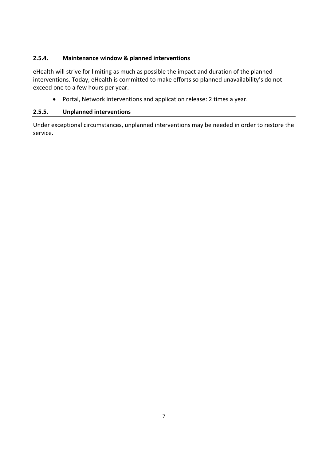#### **2.5.4. Maintenance window & planned interventions**

eHealth will strive for limiting as much as possible the impact and duration of the planned interventions. Today, eHealth is committed to make efforts so planned unavailability's do not exceed one to a few hours per year.

Portal, Network interventions and application release: 2 times a year.

#### **2.5.5. Unplanned interventions**

Under exceptional circumstances, unplanned interventions may be needed in order to restore the service.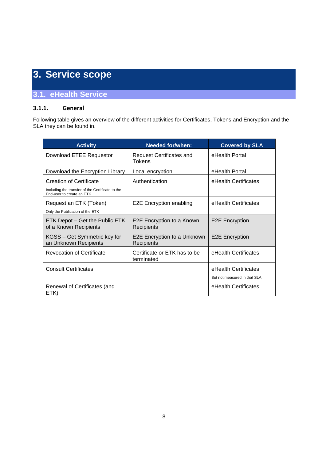# **3. Service scope**

### **3.1. eHealth Service**

#### **3.1.1. General**

Following table gives an overview of the different activities for Certificates, Tokens and Encryption and the SLA they can be found in.

| <b>Activity</b>                                                                                          | <b>Needed for/when:</b>                    | <b>Covered by SLA</b>                                |
|----------------------------------------------------------------------------------------------------------|--------------------------------------------|------------------------------------------------------|
| Download ETEE Requestor                                                                                  | Request Certificates and<br>Tokens         | eHealth Portal                                       |
| Download the Encryption Library                                                                          | Local encryption                           | eHealth Portal                                       |
| Creation of Certificate<br>Including the transfer of the Certificate to the<br>End-user to create an ETK | Authentication                             | eHealth Certificates                                 |
| Request an ETK (Token)<br>Only the Publication of the ETK                                                | E2E Encryption enabling                    | eHealth Certificates                                 |
| ETK Depot – Get the Public ETK<br>of a Known Recipients                                                  | E2E Encryption to a Known<br>Recipients    | <b>E2E</b> Encryption                                |
| KGSS – Get Symmetric key for<br>an Unknown Recipients                                                    | E2E Encryption to a Unknown<br>Recipients  | <b>E2E Encryption</b>                                |
| <b>Revocation of Certificate</b>                                                                         | Certificate or ETK has to be<br>terminated | eHealth Certificates                                 |
| <b>Consult Certificates</b>                                                                              |                                            | eHealth Certificates<br>But not measured in that SLA |
| Renewal of Certificates (and<br>ETK)                                                                     |                                            | eHealth Certificates                                 |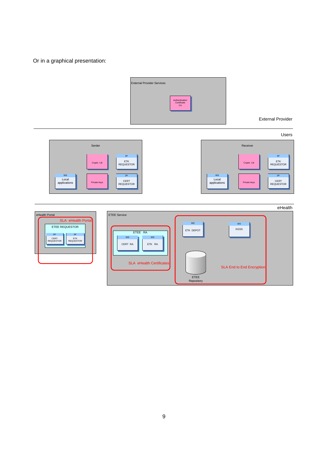Or in a graphical presentation:

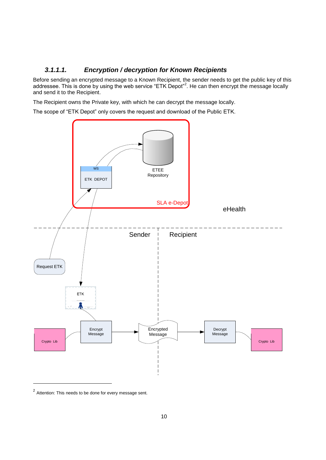#### *3.1.1.1. Encryption / decryption for Known Recipients*

Before sending an encrypted message to a Known Recipient, the sender needs to get the public key of this addressee. This is done by using the web service "ETK Depot"<sup>2</sup>. He can then encrypt the message locally and send it to the Recipient.

The Recipient owns the Private key, with which he can decrypt the message locally.

The scope of "ETK Depot" only covers the request and download of the Public ETK.



 $2$  Attention: This needs to be done for every message sent.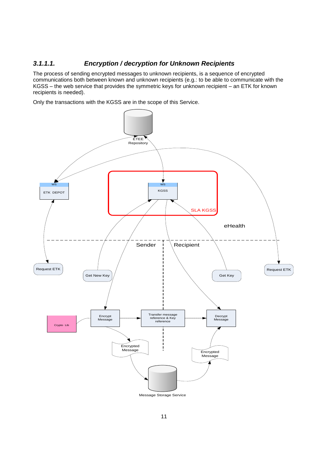#### *3.1.1.1. Encryption / decryption for Unknown Recipients*

The process of sending encrypted messages to unknown recipients, is a sequence of encrypted communications both between known and unknown recipients (e.g.: to be able to communicate with the KGSS – the web service that provides the symmetric keys for unknown recipient – an ETK for known recipients is needed).

Only the transactions with the KGSS are in the scope of this Service.

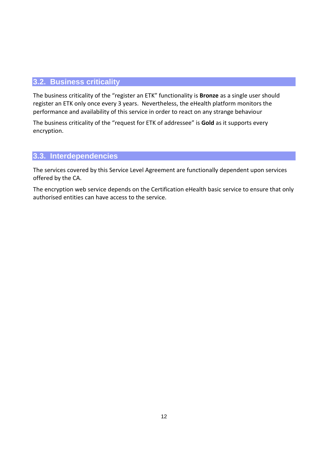#### **3.2. Business criticality**

The business criticality of the "register an ETK" functionality is **Bronze** as a single user should register an ETK only once every 3 years. Nevertheless, the eHealth platform monitors the performance and availability of this service in order to react on any strange behaviour

The business criticality of the "request for ETK of addressee" is **Gold** as it supports every encryption.

#### **3.3. Interdependencies**

The services covered by this Service Level Agreement are functionally dependent upon services offered by the CA.

The encryption web service depends on the Certification eHealth basic service to ensure that only authorised entities can have access to the service.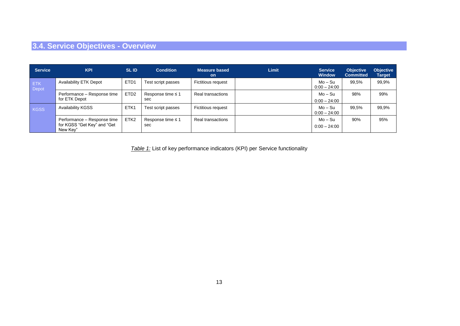# **3.4. Service Objectives - Overview**

| <b>Service</b>      | <b>KPI</b>                                                             | <b>SLID</b>      | <b>Condition</b>              | <b>Measure based</b><br><b>on</b> | <b>Limit</b> | <b>Service</b><br><b>Window</b> | <b>Objective</b><br><b>Committed</b> | <b>Objective</b><br><b>Target</b> |
|---------------------|------------------------------------------------------------------------|------------------|-------------------------------|-----------------------------------|--------------|---------------------------------|--------------------------------------|-----------------------------------|
| <b>ETK</b><br>Depot | <b>Availability ETK Depot</b>                                          | ETD <sub>1</sub> | Test script passes            | <b>Fictitious request</b>         |              | Mo – Su<br>$0:00 - 24:00$       | 99.5%                                | 99,9%                             |
|                     | Performance - Response time<br>for ETK Depot                           | ETD <sub>2</sub> | Response time $\leq 1$<br>sec | Real transactions                 |              | Mo – Su<br>$0:00 - 24:00$       | 98%                                  | 99%                               |
| <b>KGSS</b>         | <b>Availability KGSS</b>                                               | ETK1             | Test script passes            | <b>Fictitious request</b>         |              | Mo – Su<br>$0:00 - 24:00$       | 99,5%                                | 99,9%                             |
|                     | Performance - Response time<br>for KGSS "Get Key" and "Get<br>New Kev" | ETK <sub>2</sub> | Response time $\leq 1$<br>sec | Real transactions                 |              | Mo – Su<br>$0:00 - 24:00$       | 90%                                  | 95%                               |

*Table 1:* List of key performance indicators (KPI) per Service functionality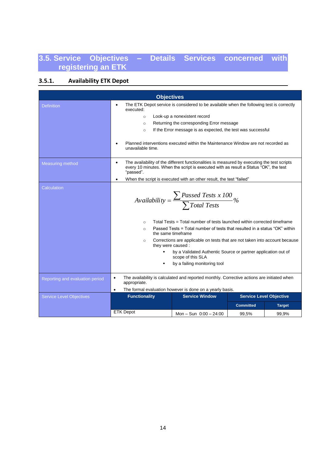# **3.5. Service Objectives – Details Services concerned with registering an ETK**

### **3.5.1. Availability ETK Depot**

|                                 | <b>Objectives</b>                                                                                                                                                                                                                                                                   |                                                                                                                                                                                                                                                                                                                                                                                                                                                                       |                  |                                |  |  |
|---------------------------------|-------------------------------------------------------------------------------------------------------------------------------------------------------------------------------------------------------------------------------------------------------------------------------------|-----------------------------------------------------------------------------------------------------------------------------------------------------------------------------------------------------------------------------------------------------------------------------------------------------------------------------------------------------------------------------------------------------------------------------------------------------------------------|------------------|--------------------------------|--|--|
| <b>Definition</b>               | The ETK Depot service is considered to be available when the following test is correctly<br>executed:<br>Look-up a nonexistent record<br>$\circ$<br>Returning the corresponding Error message<br>$\circ$<br>If the Error message is as expected, the test was successful<br>$\circ$ |                                                                                                                                                                                                                                                                                                                                                                                                                                                                       |                  |                                |  |  |
|                                 | $\bullet$<br>unavailable time.                                                                                                                                                                                                                                                      | Planned interventions executed within the Maintenance Window are not recorded as                                                                                                                                                                                                                                                                                                                                                                                      |                  |                                |  |  |
| <b>Measuring method</b>         | $\bullet$<br>"passed".                                                                                                                                                                                                                                                              | The availability of the different functionalities is measured by executing the test scripts<br>every 10 minutes. When the script is executed with as result a Status "OK", the test                                                                                                                                                                                                                                                                                   |                  |                                |  |  |
|                                 | $\bullet$                                                                                                                                                                                                                                                                           | When the script is executed with an other result, the test "failed"                                                                                                                                                                                                                                                                                                                                                                                                   |                  |                                |  |  |
| Calculation                     | $\circ$<br>$\circ$<br>$\circ$<br>they were caused:                                                                                                                                                                                                                                  | Availability = $\frac{\sum \text{Passed Tests x 100}}{\sum \text{Total Tests}}$ %<br>Total Tests = Total number of tests launched within corrected timeframe<br>Passed Tests = Total number of tests that resulted in a status "OK" within<br>the same timeframe<br>Corrections are applicable on tests that are not taken into account because<br>by a Validated Authentic Source or partner application out of<br>scope of this SLA<br>by a failing monitoring tool |                  |                                |  |  |
| Reporting and evaluation period | $\bullet$<br>appropriate.<br>$\bullet$                                                                                                                                                                                                                                              | The availability is calculated and reported monthly. Corrective actions are initiated when<br>The formal evaluation however is done on a yearly basis.                                                                                                                                                                                                                                                                                                                |                  |                                |  |  |
| <b>Service Level Objectives</b> | <b>Functionality</b>                                                                                                                                                                                                                                                                | <b>Service Window</b>                                                                                                                                                                                                                                                                                                                                                                                                                                                 |                  | <b>Service Level Objective</b> |  |  |
|                                 |                                                                                                                                                                                                                                                                                     |                                                                                                                                                                                                                                                                                                                                                                                                                                                                       |                  |                                |  |  |
|                                 | <b>ETK Depot</b>                                                                                                                                                                                                                                                                    |                                                                                                                                                                                                                                                                                                                                                                                                                                                                       | <b>Committed</b> | <b>Target</b>                  |  |  |
|                                 |                                                                                                                                                                                                                                                                                     | Mon - Sun $0:00 - 24:00$                                                                                                                                                                                                                                                                                                                                                                                                                                              | 99,5%            | 99,9%                          |  |  |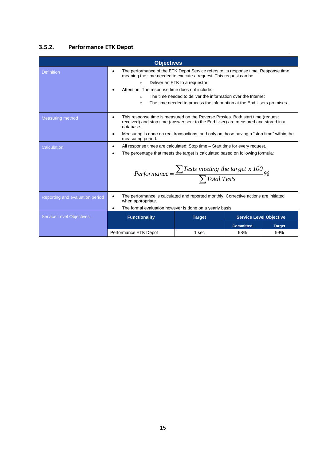### **3.5.2. Performance ETK Depot**

|                                 | <b>Objectives</b>                                                                                                                                                                               |                                                                       |                  |                                |  |  |  |
|---------------------------------|-------------------------------------------------------------------------------------------------------------------------------------------------------------------------------------------------|-----------------------------------------------------------------------|------------------|--------------------------------|--|--|--|
| <b>Definition</b>               | The performance of the ETK Depot Service refers to its response time. Response time<br>$\bullet$<br>meaning the time needed to execute a request. This request can be                           |                                                                       |                  |                                |  |  |  |
|                                 | $\Omega$                                                                                                                                                                                        | Deliver an ETK to a requestor                                         |                  |                                |  |  |  |
|                                 | Attention: The response time does not include:                                                                                                                                                  |                                                                       |                  |                                |  |  |  |
|                                 | $\Omega$                                                                                                                                                                                        | The time needed to deliver the information over the Internet          |                  |                                |  |  |  |
|                                 | $\circ$                                                                                                                                                                                         | The time needed to process the information at the End Users premises. |                  |                                |  |  |  |
| <b>Measuring method</b>         | This response time is measured on the Reverse Proxies. Both start time (request<br>$\bullet$<br>received) and stop time (answer sent to the End User) are measured and stored in a<br>database. |                                                                       |                  |                                |  |  |  |
|                                 | Measuring is done on real transactions, and only on those having a "stop time" within the<br>$\bullet$<br>measuring period.                                                                     |                                                                       |                  |                                |  |  |  |
| Calculation                     | All response times are calculated: Stop time – Start time for every request.<br>$\bullet$                                                                                                       |                                                                       |                  |                                |  |  |  |
|                                 | The percentage that meets the target is calculated based on following formula:                                                                                                                  |                                                                       |                  |                                |  |  |  |
|                                 | Performance = $\frac{\sum Tests \text{ meeting the target } x \text{ 100}}{\sum Total \text{ Tests}}$ %                                                                                         |                                                                       |                  |                                |  |  |  |
| Reporting and evaluation period | The performance is calculated and reported monthly. Corrective actions are initiated<br>$\bullet$<br>when appropriate.                                                                          |                                                                       |                  |                                |  |  |  |
|                                 | The formal evaluation however is done on a yearly basis.<br>$\bullet$                                                                                                                           |                                                                       |                  |                                |  |  |  |
| <b>Service Level Objectives</b> | <b>Functionality</b>                                                                                                                                                                            | <b>Target</b>                                                         |                  | <b>Service Level Objective</b> |  |  |  |
|                                 |                                                                                                                                                                                                 |                                                                       | <b>Committed</b> | <b>Target</b>                  |  |  |  |
|                                 | Performance ETK Depot                                                                                                                                                                           | 1 sec                                                                 | 98%              | 99%                            |  |  |  |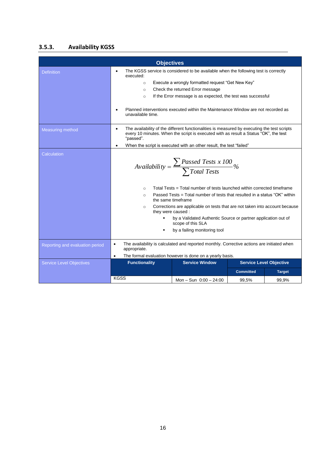#### **3.5.3. Availability KGSS**

|                                 | <b>Objectives</b>                                                                                                                                                                                                                                                                                                                                                                                                                                                                                                                 |                                                                                                                                                                                     |                  |                                |  |
|---------------------------------|-----------------------------------------------------------------------------------------------------------------------------------------------------------------------------------------------------------------------------------------------------------------------------------------------------------------------------------------------------------------------------------------------------------------------------------------------------------------------------------------------------------------------------------|-------------------------------------------------------------------------------------------------------------------------------------------------------------------------------------|------------------|--------------------------------|--|
| <b>Definition</b>               | executed:                                                                                                                                                                                                                                                                                                                                                                                                                                                                                                                         | The KGSS service is considered to be available when the following test is correctly                                                                                                 |                  |                                |  |
|                                 | $\circ$                                                                                                                                                                                                                                                                                                                                                                                                                                                                                                                           | Execute a wrongly formatted request "Get New Key"                                                                                                                                   |                  |                                |  |
|                                 | $\circ$                                                                                                                                                                                                                                                                                                                                                                                                                                                                                                                           | Check the returned Error message                                                                                                                                                    |                  |                                |  |
|                                 | $\circ$                                                                                                                                                                                                                                                                                                                                                                                                                                                                                                                           | If the Error message is as expected, the test was successful                                                                                                                        |                  |                                |  |
|                                 | unavailable time.                                                                                                                                                                                                                                                                                                                                                                                                                                                                                                                 | Planned interventions executed within the Maintenance Window are not recorded as                                                                                                    |                  |                                |  |
| <b>Measuring method</b>         | $\bullet$<br>"passed".                                                                                                                                                                                                                                                                                                                                                                                                                                                                                                            | The availability of the different functionalities is measured by executing the test scripts<br>every 10 minutes. When the script is executed with as result a Status "OK", the test |                  |                                |  |
|                                 | $\bullet$                                                                                                                                                                                                                                                                                                                                                                                                                                                                                                                         | When the script is executed with an other result, the test "failed"                                                                                                                 |                  |                                |  |
| Calculation                     | Availability = $\frac{\sum \text{Passed Tests x 100}}{\sum \text{Total Tests}}\%$<br>Total Tests = Total number of tests launched within corrected timeframe<br>$\circ$<br>Passed Tests = Total number of tests that resulted in a status "OK" within<br>$\circ$<br>the same timeframe<br>Corrections are applicable on tests that are not taken into account because<br>$\Omega$<br>they were caused:<br>by a Validated Authentic Source or partner application out of<br>scope of this SLA<br>by a failing monitoring tool<br>٠ |                                                                                                                                                                                     |                  |                                |  |
| Reporting and evaluation period | The availability is calculated and reported monthly. Corrective actions are initiated when<br>$\bullet$<br>appropriate.                                                                                                                                                                                                                                                                                                                                                                                                           |                                                                                                                                                                                     |                  |                                |  |
|                                 | $\bullet$                                                                                                                                                                                                                                                                                                                                                                                                                                                                                                                         | The formal evaluation however is done on a yearly basis.                                                                                                                            |                  |                                |  |
| <b>Service Level Objectives</b> | <b>Functionality</b>                                                                                                                                                                                                                                                                                                                                                                                                                                                                                                              | <b>Service Window</b>                                                                                                                                                               |                  | <b>Service Level Objective</b> |  |
|                                 |                                                                                                                                                                                                                                                                                                                                                                                                                                                                                                                                   |                                                                                                                                                                                     | <b>Committed</b> | <b>Target</b>                  |  |
|                                 | <b>KGSS</b>                                                                                                                                                                                                                                                                                                                                                                                                                                                                                                                       | Mon - Sun $0:00 - 24:00$                                                                                                                                                            | 99,5%            | 99,9%                          |  |